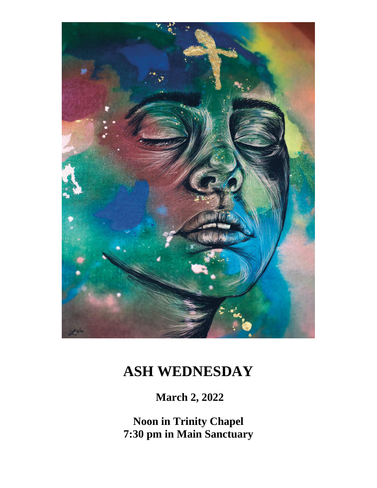

# **ASH WEDNESDAY**

**March 2, 2022**

**Noon in Trinity Chapel 7:30 pm in Main Sanctuary**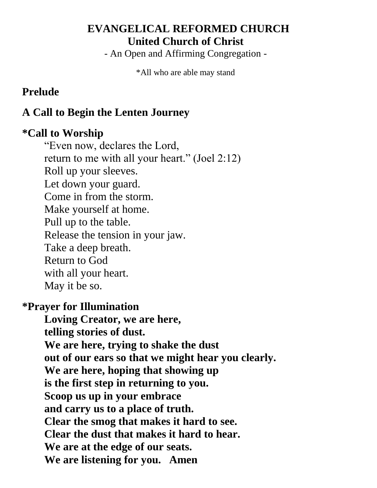## **EVANGELICAL REFORMED CHURCH United Church of Christ**

- An Open and Affirming Congregation -

\*All who are able may stand

## **Prelude**

## **A Call to Begin the Lenten Journey**

### **\*Call to Worship**

"Even now, declares the Lord, return to me with all your heart." (Joel 2:12) Roll up your sleeves. Let down your guard. Come in from the storm. Make yourself at home. Pull up to the table. Release the tension in your jaw. Take a deep breath. Return to God with all your heart. May it be so.

### **\*Prayer for Illumination**

**Loving Creator, we are here, telling stories of dust. We are here, trying to shake the dust out of our ears so that we might hear you clearly. We are here, hoping that showing up is the first step in returning to you. Scoop us up in your embrace and carry us to a place of truth. Clear the smog that makes it hard to see. Clear the dust that makes it hard to hear. We are at the edge of our seats. We are listening for you. Amen**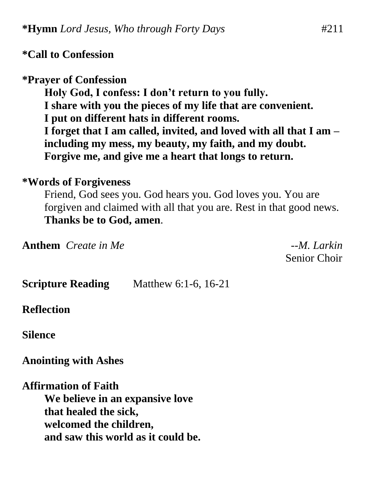## **\*Call to Confession**

### **\*Prayer of Confession**

**Holy God, I confess: I don't return to you fully. I share with you the pieces of my life that are convenient. I put on different hats in different rooms. I forget that I am called, invited, and loved with all that I am – including my mess, my beauty, my faith, and my doubt. Forgive me, and give me a heart that longs to return.**

#### **\*Words of Forgiveness**

Friend, God sees you. God hears you. God loves you. You are forgiven and claimed with all that you are. Rest in that good news. **Thanks be to God, amen**.

**Anthem** *Create in Me --M. Larkin*

Senior Choir

**Scripture Reading** Matthew 6:1-6, 16-21

#### **Reflection**

**Silence**

**Anointing with Ashes**

**Affirmation of Faith We believe in an expansive love that healed the sick, welcomed the children, and saw this world as it could be.**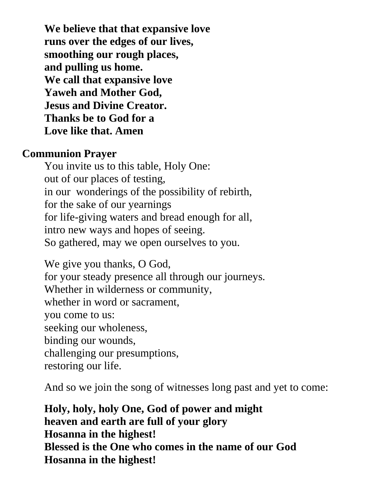**We believe that that expansive love runs over the edges of our lives, smoothing our rough places, and pulling us home. We call that expansive love Yaweh and Mother God, Jesus and Divine Creator. Thanks be to God for a Love like that. Amen**

#### **Communion Prayer**

You invite us to this table, Holy One: out of our places of testing, in our wonderings of the possibility of rebirth, for the sake of our yearnings for life-giving waters and bread enough for all, intro new ways and hopes of seeing. So gathered, may we open ourselves to you.

We give you thanks, O God, for your steady presence all through our journeys. Whether in wilderness or community, whether in word or sacrament, you come to us: seeking our wholeness, binding our wounds, challenging our presumptions, restoring our life.

And so we join the song of witnesses long past and yet to come:

**Holy, holy, holy One, God of power and might heaven and earth are full of your glory Hosanna in the highest! Blessed is the One who comes in the name of our God Hosanna in the highest!**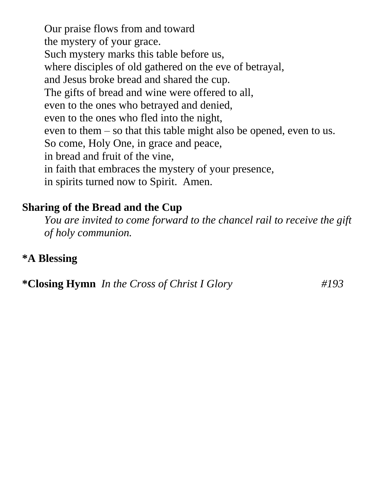Our praise flows from and toward the mystery of your grace. Such mystery marks this table before us, where disciples of old gathered on the eve of betrayal, and Jesus broke bread and shared the cup. The gifts of bread and wine were offered to all, even to the ones who betrayed and denied, even to the ones who fled into the night, even to them – so that this table might also be opened, even to us. So come, Holy One, in grace and peace, in bread and fruit of the vine, in faith that embraces the mystery of your presence, in spirits turned now to Spirit. Amen.

### **Sharing of the Bread and the Cup**

*You are invited to come forward to the chancel rail to receive the gift of holy communion.*

### **\*A Blessing**

**\*Closing Hymn** *In the Cross of Christ I Glory #193*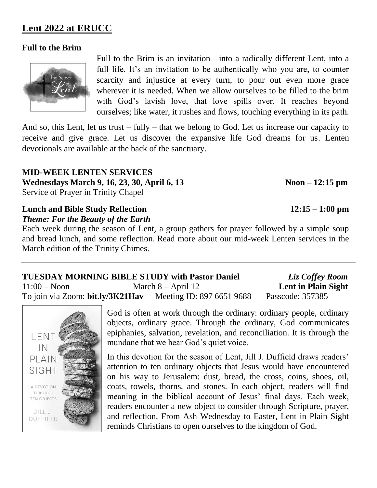#### **Lent 2022 at ERUCC**

#### **Full to the Brim**



Full to the Brim is an invitation—into a radically different Lent, into a full life. It's an invitation to be authentically who you are, to counter scarcity and injustice at every turn, to pour out even more grace wherever it is needed. When we allow ourselves to be filled to the brim with God's lavish love, that love spills over. It reaches beyond ourselves; like water, it rushes and flows, touching everything in its path.

And so, this Lent, let us trust – fully – that we belong to God. Let us increase our capacity to receive and give grace. Let us discover the expansive life God dreams for us. Lenten devotionals are available at the back of the sanctuary.

**MID-WEEK LENTEN SERVICES**  Wednesdays March 9, 16, 23, 30, April 6, 13 Noon – 12:15 pm Service of Prayer in Trinity Chapel

## **Lunch and Bible Study Reflection 12:15 – 1:00 pm**

*Theme: For the Beauty of the Earth*

Each week during the season of Lent, a group gathers for prayer followed by a simple soup and bread lunch, and some reflection. Read more about our mid-week Lenten services in the March edition of the Trinity Chimes.

| <b>TUESDAY MORNING BIBLE STUDY with Pastor Daniel</b> |                           | Liz Coffey Room     |
|-------------------------------------------------------|---------------------------|---------------------|
| $11:00 - N$ oon                                       | March $8 -$ April 12      | Lent in Plain Sight |
| To join via Zoom: bit.ly/3K21Hav                      | Meeting ID: 897 6651 9688 | Passcode: 357385    |



God is often at work through the ordinary: ordinary people, ordinary objects, ordinary grace. Through the ordinary, God communicates epiphanies, salvation, revelation, and reconciliation. It is through the mundane that we hear God's quiet voice.

In this devotion for the season of Lent, Jill J. Duffield draws readers' attention to ten ordinary objects that Jesus would have encountered on his way to Jerusalem: dust, bread, the cross, coins, shoes, oil, coats, towels, thorns, and stones. In each object, readers will find meaning in the biblical account of Jesus' final days. Each week, readers encounter a new object to consider through Scripture, prayer, and reflection. From Ash Wednesday to Easter, Lent in Plain Sight reminds Christians to open ourselves to the kingdom of God.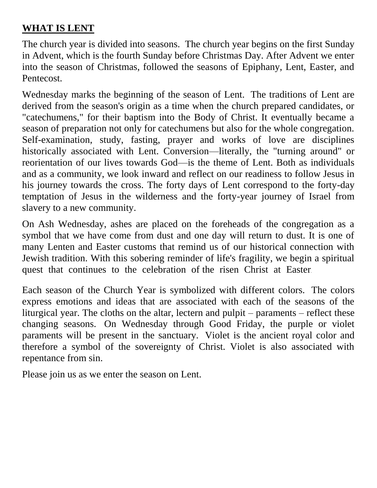#### **WHAT IS LENT**

The church year is divided into seasons. The church year begins on the first Sunday in Advent, which is the fourth Sunday before Christmas Day. After Advent we enter into the season of Christmas, followed the seasons of Epiphany, Lent, Easter, and Pentecost.

Wednesday marks the beginning of the season of Lent. The traditions of Lent are derived from the season's origin as a time when the church prepared candidates, or "catechumens," for their baptism into the Body of Christ. It eventually became a season of preparation not only for catechumens but also for the whole congregation. Self-examination, study, fasting, prayer and works of love are disciplines historically associated with Lent. Conversion—literally, the "turning around" or reorientation of our lives towards God—is the theme of Lent. Both as individuals and as a community, we look inward and reflect on our readiness to follow Jesus in his journey towards the cross. The forty days of Lent correspond to the forty-day temptation of Jesus in the wilderness and the forty-year journey of Israel from slavery to a new community.

On Ash Wednesday, ashes are placed on the foreheads of the congregation as a symbol that we have come from dust and one day will return to dust. It is one of many Lenten and Easter customs that remind us of our historical connection with Jewish tradition. With this sobering reminder of life's fragility, we begin a spiritual quest that continues to the celebration of the risen Christ at Easter.

Each season of the Church Year is symbolized with different colors. The colors express emotions and ideas that are associated with each of the seasons of the liturgical year. The cloths on the altar, lectern and pulpit – paraments – reflect these changing seasons. On Wednesday through Good Friday, the purple or violet paraments will be present in the sanctuary. Violet is the ancient royal color and therefore a symbol of the sovereignty of Christ. Violet is also associated with repentance from sin.

Please join us as we enter the season on Lent.